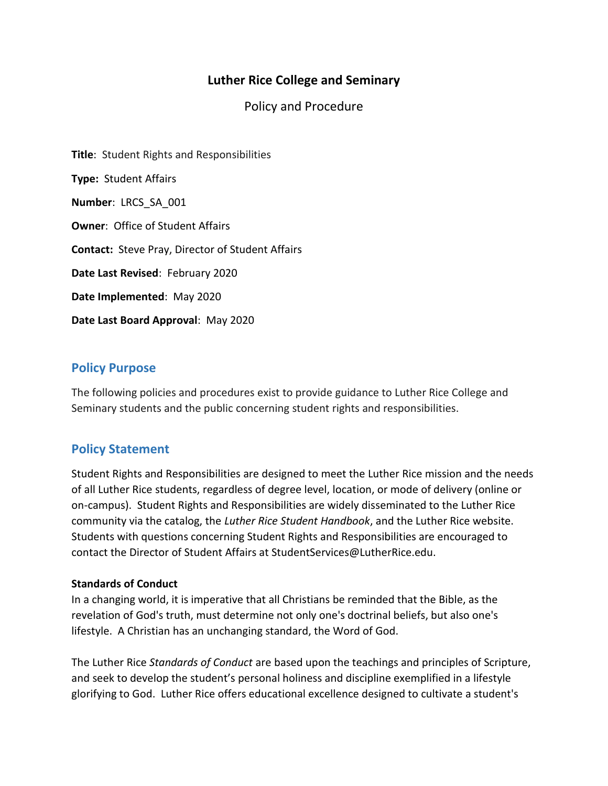# **Luther Rice College and Seminary**

Policy and Procedure

**Title**: Student Rights and Responsibilities **Type:** Student Affairs **Number**: LRCS\_SA\_001 **Owner**: Office of Student Affairs **Contact:** Steve Pray, Director of Student Affairs **Date Last Revised**: February 2020 **Date Implemented**: May 2020 **Date Last Board Approval**: May 2020

## **Policy Purpose**

The following policies and procedures exist to provide guidance to Luther Rice College and Seminary students and the public concerning student rights and responsibilities.

# **Policy Statement**

Student Rights and Responsibilities are designed to meet the Luther Rice mission and the needs of all Luther Rice students, regardless of degree level, location, or mode of delivery (online or on-campus). Student Rights and Responsibilities are widely disseminated to the Luther Rice community via the catalog, the *Luther Rice Student Handbook*, and the Luther Rice website. Students with questions concerning Student Rights and Responsibilities are encouraged to contact the Director of Student Affairs at StudentServices@LutherRice.edu.

#### **Standards of Conduct**

In a changing world, it is imperative that all Christians be reminded that the Bible, as the revelation of God's truth, must determine not only one's doctrinal beliefs, but also one's lifestyle. A Christian has an unchanging standard, the Word of God.

The Luther Rice *Standards of Conduct* are based upon the teachings and principles of Scripture, and seek to develop the student's personal holiness and discipline exemplified in a lifestyle glorifying to God. Luther Rice offers educational excellence designed to cultivate a student's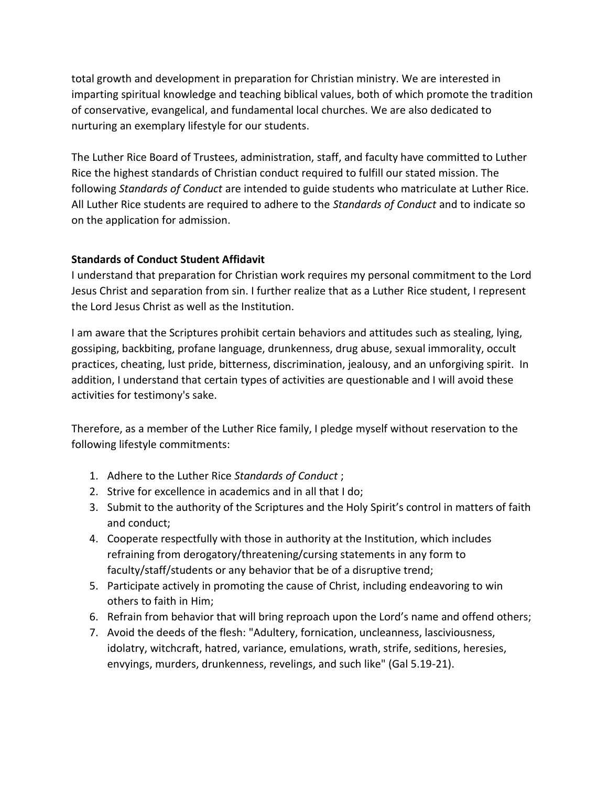total growth and development in preparation for Christian ministry. We are interested in imparting spiritual knowledge and teaching biblical values, both of which promote the tradition of conservative, evangelical, and fundamental local churches. We are also dedicated to nurturing an exemplary lifestyle for our students.

The Luther Rice Board of Trustees, administration, staff, and faculty have committed to Luther Rice the highest standards of Christian conduct required to fulfill our stated mission. The following *Standards of Conduct* are intended to guide students who matriculate at Luther Rice. All Luther Rice students are required to adhere to the *Standards of Conduct* and to indicate so on the application for admission.

## **Standards of Conduct Student Affidavit**

I understand that preparation for Christian work requires my personal commitment to the Lord Jesus Christ and separation from sin. I further realize that as a Luther Rice student, I represent the Lord Jesus Christ as well as the Institution.

I am aware that the Scriptures prohibit certain behaviors and attitudes such as stealing, lying, gossiping, backbiting, profane language, drunkenness, drug abuse, sexual immorality, occult practices, cheating, lust pride, bitterness, discrimination, jealousy, and an unforgiving spirit. In addition, I understand that certain types of activities are questionable and I will avoid these activities for testimony's sake.

Therefore, as a member of the Luther Rice family, I pledge myself without reservation to the following lifestyle commitments:

- 1. Adhere to the Luther Rice *Standards of Conduct* ;
- 2. Strive for excellence in academics and in all that I do;
- 3. Submit to the authority of the Scriptures and the Holy Spirit's control in matters of faith and conduct;
- 4. Cooperate respectfully with those in authority at the Institution, which includes refraining from derogatory/threatening/cursing statements in any form to faculty/staff/students or any behavior that be of a disruptive trend;
- 5. Participate actively in promoting the cause of Christ, including endeavoring to win others to faith in Him;
- 6. Refrain from behavior that will bring reproach upon the Lord's name and offend others;
- 7. Avoid the deeds of the flesh: "Adultery, fornication, uncleanness, lasciviousness, idolatry, witchcraft, hatred, variance, emulations, wrath, strife, seditions, heresies, envyings, murders, drunkenness, revelings, and such like" (Gal 5.19-21).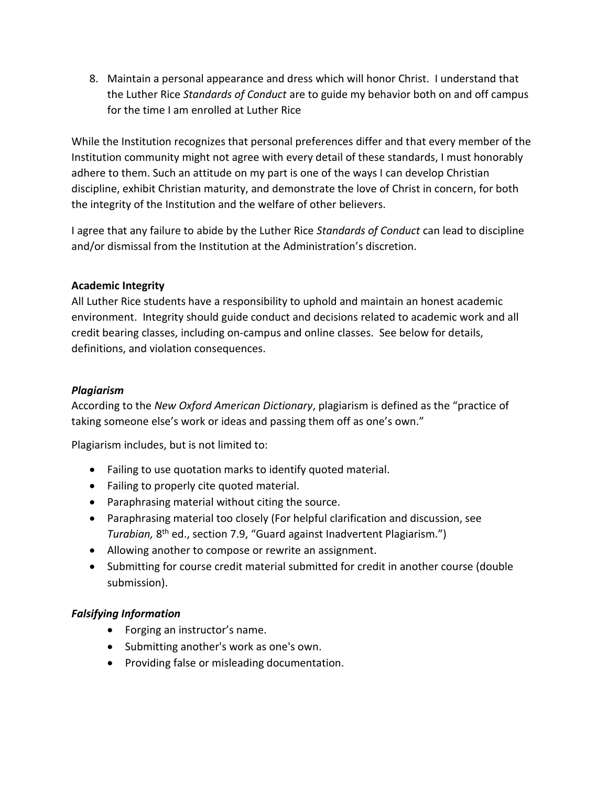8. Maintain a personal appearance and dress which will honor Christ. I understand that the Luther Rice *Standards of Conduct* are to guide my behavior both on and off campus for the time I am enrolled at Luther Rice

While the Institution recognizes that personal preferences differ and that every member of the Institution community might not agree with every detail of these standards, I must honorably adhere to them. Such an attitude on my part is one of the ways I can develop Christian discipline, exhibit Christian maturity, and demonstrate the love of Christ in concern, for both the integrity of the Institution and the welfare of other believers.

I agree that any failure to abide by the Luther Rice *Standards of Conduct* can lead to discipline and/or dismissal from the Institution at the Administration's discretion.

## **Academic Integrity**

All Luther Rice students have a responsibility to uphold and maintain an honest academic environment. Integrity should guide conduct and decisions related to academic work and all credit bearing classes, including on-campus and online classes. See below for details, definitions, and violation consequences.

## *Plagiarism*

According to the *New Oxford American Dictionary*, plagiarism is defined as the "practice of taking someone else's work or ideas and passing them off as one's own."

Plagiarism includes, but is not limited to:

- Failing to use quotation marks to identify quoted material.
- Failing to properly cite quoted material.
- Paraphrasing material without citing the source.
- Paraphrasing material too closely (For helpful clarification and discussion, see Turabian, 8<sup>th</sup> ed., section 7.9, "Guard against Inadvertent Plagiarism.")
- Allowing another to compose or rewrite an assignment.
- Submitting for course credit material submitted for credit in another course (double submission).

## *Falsifying Information*

- Forging an instructor's name.
- Submitting another's work as one's own.
- Providing false or misleading documentation.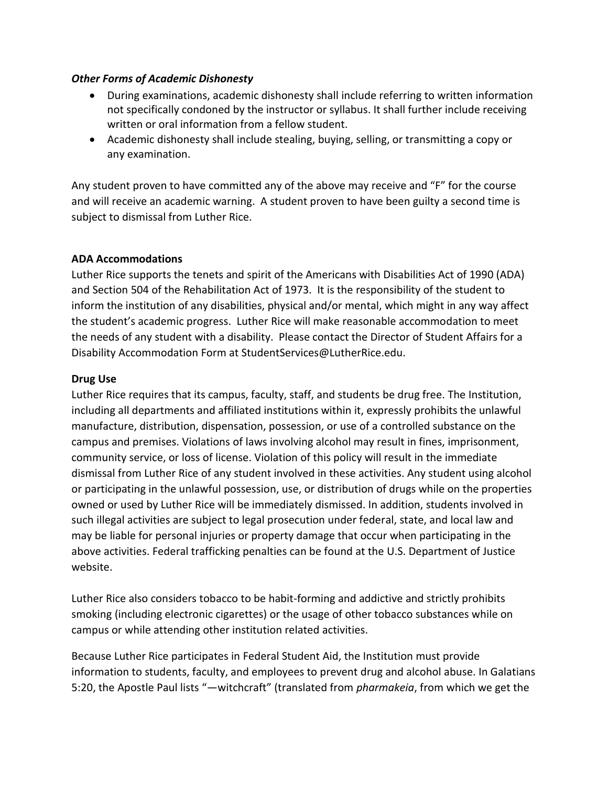#### *Other Forms of Academic Dishonesty*

- During examinations, academic dishonesty shall include referring to written information not specifically condoned by the instructor or syllabus. It shall further include receiving written or oral information from a fellow student.
- Academic dishonesty shall include stealing, buying, selling, or transmitting a copy or any examination.

Any student proven to have committed any of the above may receive and "F" for the course and will receive an academic warning. A student proven to have been guilty a second time is subject to dismissal from Luther Rice.

## **ADA Accommodations**

Luther Rice supports the tenets and spirit of the Americans with Disabilities Act of 1990 (ADA) and Section 504 of the Rehabilitation Act of 1973. It is the responsibility of the student to inform the institution of any disabilities, physical and/or mental, which might in any way affect the student's academic progress. Luther Rice will make reasonable accommodation to meet the needs of any student with a disability. Please contact the Director of Student Affairs for a Disability Accommodation Form at StudentServices@LutherRice.edu.

## **Drug Use**

Luther Rice requires that its campus, faculty, staff, and students be drug free. The Institution, including all departments and affiliated institutions within it, expressly prohibits the unlawful manufacture, distribution, dispensation, possession, or use of a controlled substance on the campus and premises. Violations of laws involving alcohol may result in fines, imprisonment, community service, or loss of license. Violation of this policy will result in the immediate dismissal from Luther Rice of any student involved in these activities. Any student using alcohol or participating in the unlawful possession, use, or distribution of drugs while on the properties owned or used by Luther Rice will be immediately dismissed. In addition, students involved in such illegal activities are subject to legal prosecution under federal, state, and local law and may be liable for personal injuries or property damage that occur when participating in the above activities. Federal trafficking penalties can be found at the U.S. Department of Justice website.

Luther Rice also considers tobacco to be habit-forming and addictive and strictly prohibits smoking (including electronic cigarettes) or the usage of other tobacco substances while on campus or while attending other institution related activities.

Because Luther Rice participates in Federal Student Aid, the Institution must provide information to students, faculty, and employees to prevent drug and alcohol abuse. In Galatians 5:20, the Apostle Paul lists "―witchcraft" (translated from *pharmakeia*, from which we get the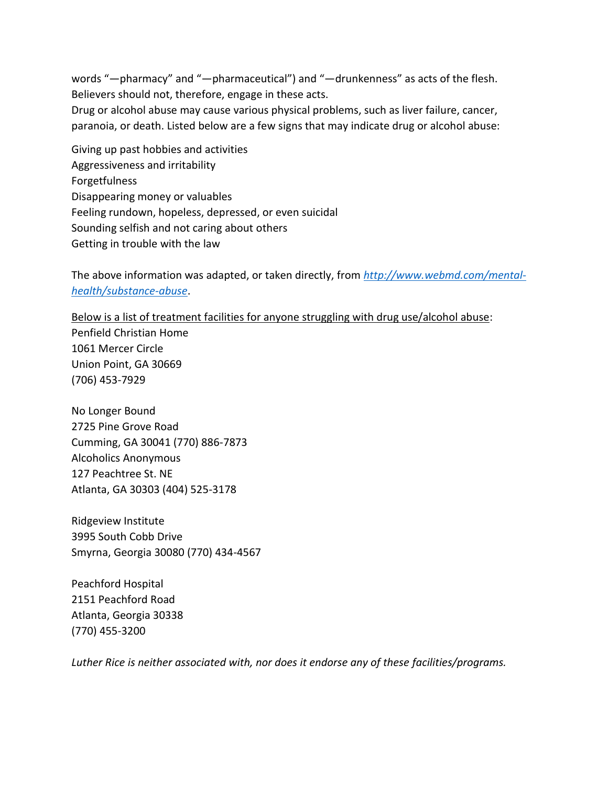words "-pharmacy" and "-pharmaceutical") and "-drunkenness" as acts of the flesh. Believers should not, therefore, engage in these acts. Drug or alcohol abuse may cause various physical problems, such as liver failure, cancer,

paranoia, or death. Listed below are a few signs that may indicate drug or alcohol abuse:

Giving up past hobbies and activities Aggressiveness and irritability Forgetfulness Disappearing money or valuables Feeling rundown, hopeless, depressed, or even suicidal Sounding selfish and not caring about others Getting in trouble with the law

The above information was adapted, or taken directly, from *[http://www.webmd.com/mental](http://www.webmd.com/mental-health/substance-abuse)[health/substance-abuse](http://www.webmd.com/mental-health/substance-abuse)*.

Below is a list of treatment facilities for anyone struggling with drug use/alcohol abuse: Penfield Christian Home 1061 Mercer Circle Union Point, GA 30669 (706) 453-7929

No Longer Bound 2725 Pine Grove Road Cumming, GA 30041 (770) 886-7873 Alcoholics Anonymous 127 Peachtree St. NE Atlanta, GA 30303 (404) 525-3178

Ridgeview Institute 3995 South Cobb Drive Smyrna, Georgia 30080 (770) 434-4567

Peachford Hospital 2151 Peachford Road Atlanta, Georgia 30338 (770) 455-3200

*Luther Rice is neither associated with, nor does it endorse any of these facilities/programs.*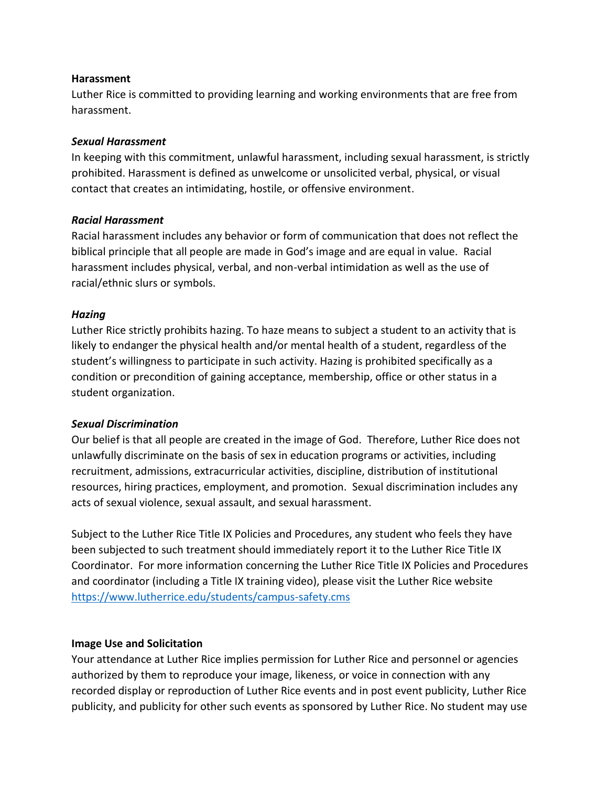#### **Harassment**

Luther Rice is committed to providing learning and working environments that are free from harassment.

#### *Sexual Harassment*

In keeping with this commitment, unlawful harassment, including sexual harassment, is strictly prohibited. Harassment is defined as unwelcome or unsolicited verbal, physical, or visual contact that creates an intimidating, hostile, or offensive environment.

#### *Racial Harassment*

Racial harassment includes any behavior or form of communication that does not reflect the biblical principle that all people are made in God's image and are equal in value. Racial harassment includes physical, verbal, and non-verbal intimidation as well as the use of racial/ethnic slurs or symbols.

#### *Hazing*

Luther Rice strictly prohibits hazing. To haze means to subject a student to an activity that is likely to endanger the physical health and/or mental health of a student, regardless of the student's willingness to participate in such activity. Hazing is prohibited specifically as a condition or precondition of gaining acceptance, membership, office or other status in a student organization.

#### *Sexual Discrimination*

Our belief is that all people are created in the image of God. Therefore, Luther Rice does not unlawfully discriminate on the basis of sex in education programs or activities, including recruitment, admissions, extracurricular activities, discipline, distribution of institutional resources, hiring practices, employment, and promotion. Sexual discrimination includes any acts of sexual violence, sexual assault, and sexual harassment.

Subject to the Luther Rice Title IX Policies and Procedures, any student who feels they have been subjected to such treatment should immediately report it to the Luther Rice Title IX Coordinator. For more information concerning the Luther Rice Title IX Policies and Procedures and coordinator (including a Title IX training video), please visit the Luther Rice website <https://www.lutherrice.edu/students/campus-safety.cms>

#### **Image Use and Solicitation**

Your attendance at Luther Rice implies permission for Luther Rice and personnel or agencies authorized by them to reproduce your image, likeness, or voice in connection with any recorded display or reproduction of Luther Rice events and in post event publicity, Luther Rice publicity, and publicity for other such events as sponsored by Luther Rice. No student may use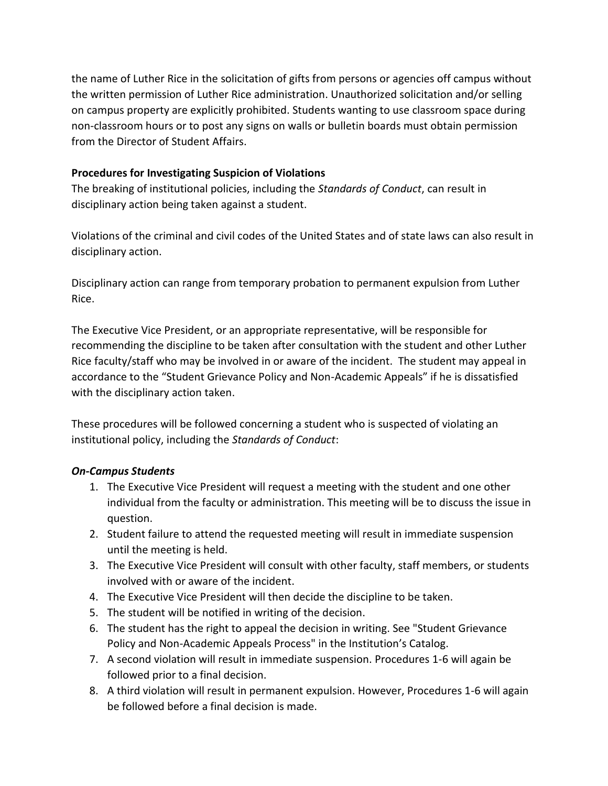the name of Luther Rice in the solicitation of gifts from persons or agencies off campus without the written permission of Luther Rice administration. Unauthorized solicitation and/or selling on campus property are explicitly prohibited. Students wanting to use classroom space during non-classroom hours or to post any signs on walls or bulletin boards must obtain permission from the Director of Student Affairs.

## **Procedures for Investigating Suspicion of Violations**

The breaking of institutional policies, including the *Standards of Conduct*, can result in disciplinary action being taken against a student.

Violations of the criminal and civil codes of the United States and of state laws can also result in disciplinary action.

Disciplinary action can range from temporary probation to permanent expulsion from Luther Rice.

The Executive Vice President, or an appropriate representative, will be responsible for recommending the discipline to be taken after consultation with the student and other Luther Rice faculty/staff who may be involved in or aware of the incident. The student may appeal in accordance to the "Student Grievance Policy and Non-Academic Appeals" if he is dissatisfied with the disciplinary action taken.

These procedures will be followed concerning a student who is suspected of violating an institutional policy, including the *Standards of Conduct*:

# *On-Campus Students*

- 1. The Executive Vice President will request a meeting with the student and one other individual from the faculty or administration. This meeting will be to discuss the issue in question.
- 2. Student failure to attend the requested meeting will result in immediate suspension until the meeting is held.
- 3. The Executive Vice President will consult with other faculty, staff members, or students involved with or aware of the incident.
- 4. The Executive Vice President will then decide the discipline to be taken.
- 5. The student will be notified in writing of the decision.
- 6. The student has the right to appeal the decision in writing. See "Student Grievance Policy and Non-Academic Appeals Process" in the Institution's Catalog.
- 7. A second violation will result in immediate suspension. Procedures 1-6 will again be followed prior to a final decision.
- 8. A third violation will result in permanent expulsion. However, Procedures 1-6 will again be followed before a final decision is made.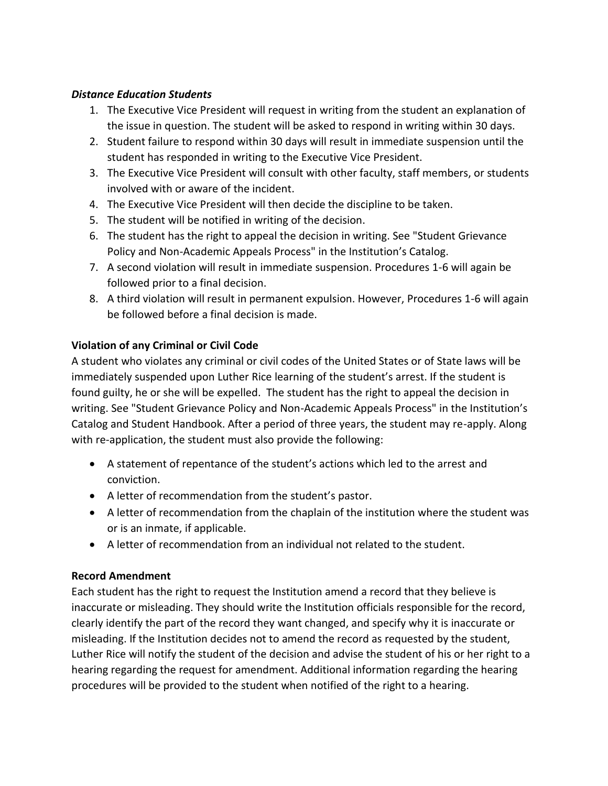#### *Distance Education Students*

- 1. The Executive Vice President will request in writing from the student an explanation of the issue in question. The student will be asked to respond in writing within 30 days.
- 2. Student failure to respond within 30 days will result in immediate suspension until the student has responded in writing to the Executive Vice President.
- 3. The Executive Vice President will consult with other faculty, staff members, or students involved with or aware of the incident.
- 4. The Executive Vice President will then decide the discipline to be taken.
- 5. The student will be notified in writing of the decision.
- 6. The student has the right to appeal the decision in writing. See "Student Grievance Policy and Non-Academic Appeals Process" in the Institution's Catalog.
- 7. A second violation will result in immediate suspension. Procedures 1-6 will again be followed prior to a final decision.
- 8. A third violation will result in permanent expulsion. However, Procedures 1-6 will again be followed before a final decision is made.

## **Violation of any Criminal or Civil Code**

A student who violates any criminal or civil codes of the United States or of State laws will be immediately suspended upon Luther Rice learning of the student's arrest. If the student is found guilty, he or she will be expelled. The student has the right to appeal the decision in writing. See "Student Grievance Policy and Non-Academic Appeals Process" in the Institution's Catalog and Student Handbook. After a period of three years, the student may re-apply. Along with re-application, the student must also provide the following:

- A statement of repentance of the student's actions which led to the arrest and conviction.
- A letter of recommendation from the student's pastor.
- A letter of recommendation from the chaplain of the institution where the student was or is an inmate, if applicable.
- A letter of recommendation from an individual not related to the student.

## **Record Amendment**

Each student has the right to request the Institution amend a record that they believe is inaccurate or misleading. They should write the Institution officials responsible for the record, clearly identify the part of the record they want changed, and specify why it is inaccurate or misleading. If the Institution decides not to amend the record as requested by the student, Luther Rice will notify the student of the decision and advise the student of his or her right to a hearing regarding the request for amendment. Additional information regarding the hearing procedures will be provided to the student when notified of the right to a hearing.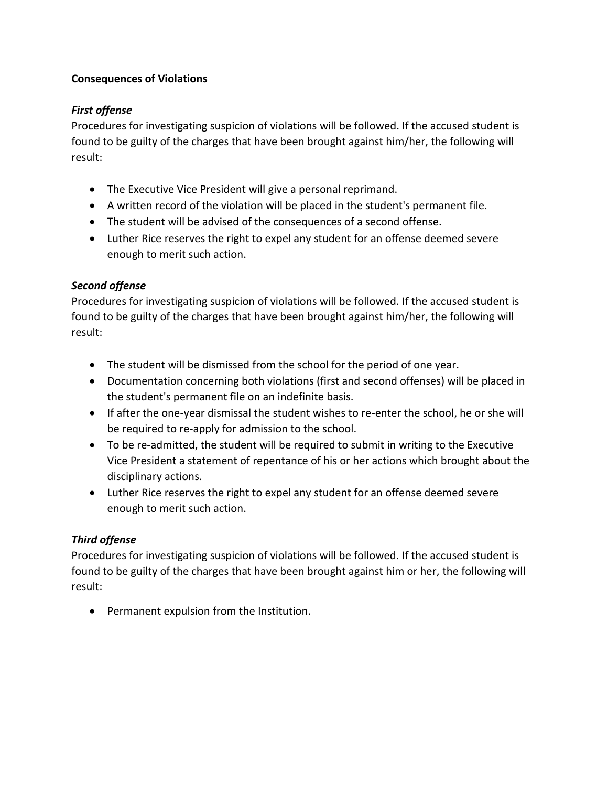## **Consequences of Violations**

# *First offense*

Procedures for investigating suspicion of violations will be followed. If the accused student is found to be guilty of the charges that have been brought against him/her, the following will result:

- The Executive Vice President will give a personal reprimand.
- A written record of the violation will be placed in the student's permanent file.
- The student will be advised of the consequences of a second offense.
- Luther Rice reserves the right to expel any student for an offense deemed severe enough to merit such action.

## *Second offense*

Procedures for investigating suspicion of violations will be followed. If the accused student is found to be guilty of the charges that have been brought against him/her, the following will result:

- The student will be dismissed from the school for the period of one year.
- Documentation concerning both violations (first and second offenses) will be placed in the student's permanent file on an indefinite basis.
- If after the one-year dismissal the student wishes to re-enter the school, he or she will be required to re-apply for admission to the school.
- To be re-admitted, the student will be required to submit in writing to the Executive Vice President a statement of repentance of his or her actions which brought about the disciplinary actions.
- Luther Rice reserves the right to expel any student for an offense deemed severe enough to merit such action.

## *Third offense*

Procedures for investigating suspicion of violations will be followed. If the accused student is found to be guilty of the charges that have been brought against him or her, the following will result:

Permanent expulsion from the Institution.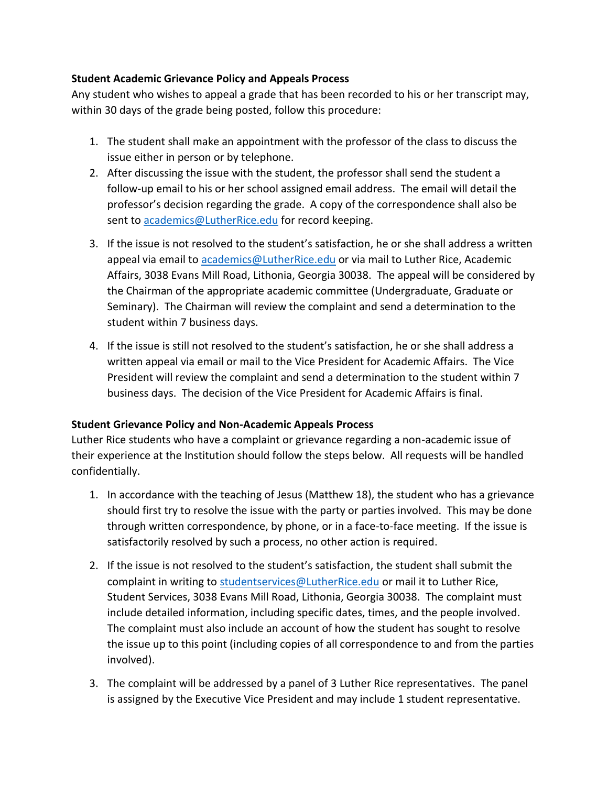## **Student Academic Grievance Policy and Appeals Process**

Any student who wishes to appeal a grade that has been recorded to his or her transcript may, within 30 days of the grade being posted, follow this procedure:

- 1. The student shall make an appointment with the professor of the class to discuss the issue either in person or by telephone.
- 2. After discussing the issue with the student, the professor shall send the student a follow-up email to his or her school assigned email address. The email will detail the professor's decision regarding the grade. A copy of the correspondence shall also be sent to [academics@LutherRice.edu](mailto:academics@LutherRice.edu) for record keeping.
- 3. If the issue is not resolved to the student's satisfaction, he or she shall address a written appeal via email to [academics@LutherRice.edu](mailto:academics@LutherRice.edu) or via mail to Luther Rice, Academic Affairs, 3038 Evans Mill Road, Lithonia, Georgia 30038. The appeal will be considered by the Chairman of the appropriate academic committee (Undergraduate, Graduate or Seminary). The Chairman will review the complaint and send a determination to the student within 7 business days.
- 4. If the issue is still not resolved to the student's satisfaction, he or she shall address a written appeal via email or mail to the Vice President for Academic Affairs. The Vice President will review the complaint and send a determination to the student within 7 business days. The decision of the Vice President for Academic Affairs is final.

## **Student Grievance Policy and Non-Academic Appeals Process**

Luther Rice students who have a complaint or grievance regarding a non-academic issue of their experience at the Institution should follow the steps below. All requests will be handled confidentially.

- 1. In accordance with the teaching of Jesus (Matthew 18), the student who has a grievance should first try to resolve the issue with the party or parties involved. This may be done through written correspondence, by phone, or in a face-to-face meeting. If the issue is satisfactorily resolved by such a process, no other action is required.
- 2. If the issue is not resolved to the student's satisfaction, the student shall submit the complaint in writing to [studentservices@LutherRice.edu](mailto:studentservices@LutherRice.edu) or mail it to Luther Rice, Student Services, 3038 Evans Mill Road, Lithonia, Georgia 30038. The complaint must include detailed information, including specific dates, times, and the people involved. The complaint must also include an account of how the student has sought to resolve the issue up to this point (including copies of all correspondence to and from the parties involved).
- 3. The complaint will be addressed by a panel of 3 Luther Rice representatives. The panel is assigned by the Executive Vice President and may include 1 student representative.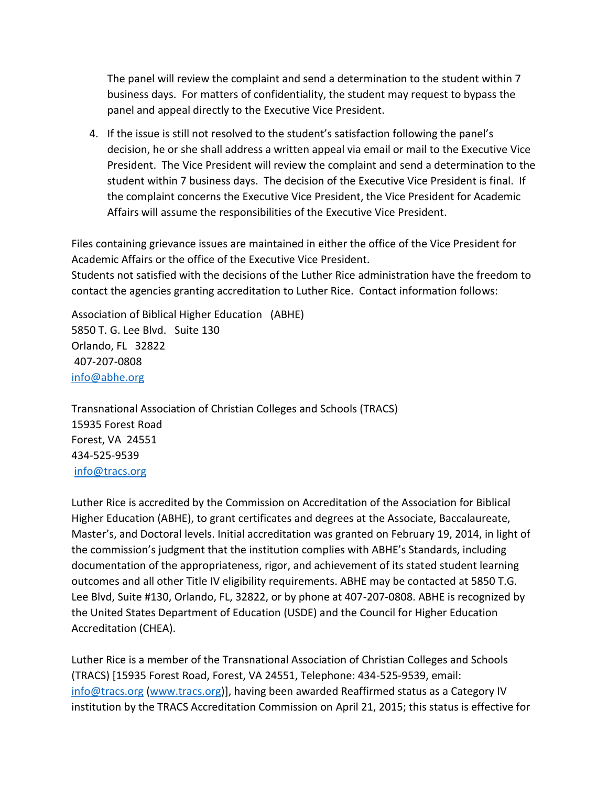The panel will review the complaint and send a determination to the student within 7 business days. For matters of confidentiality, the student may request to bypass the panel and appeal directly to the Executive Vice President.

4. If the issue is still not resolved to the student's satisfaction following the panel's decision, he or she shall address a written appeal via email or mail to the Executive Vice President. The Vice President will review the complaint and send a determination to the student within 7 business days. The decision of the Executive Vice President is final. If the complaint concerns the Executive Vice President, the Vice President for Academic Affairs will assume the responsibilities of the Executive Vice President.

Files containing grievance issues are maintained in either the office of the Vice President for Academic Affairs or the office of the Executive Vice President. Students not satisfied with the decisions of the Luther Rice administration have the freedom to contact the agencies granting accreditation to Luther Rice. Contact information follows:

Association of Biblical Higher Education (ABHE) 5850 T. G. Lee Blvd. Suite 130 Orlando, FL 32822 407-207-0808 [info@abhe.org](mailto:info@abhe.org) 

Transnational Association of Christian Colleges and Schools (TRACS) 15935 Forest Road Forest, VA 24551 434-525-9539 [info@tracs.org](mailto:info@tracs.org) 

Luther Rice is accredited by the Commission on Accreditation of the Association for Biblical Higher Education (ABHE), to grant certificates and degrees at the Associate, Baccalaureate, Master's, and Doctoral levels. Initial accreditation was granted on February 19, 2014, in light of the commission's judgment that the institution complies with ABHE's Standards, including documentation of the appropriateness, rigor, and achievement of its stated student learning outcomes and all other Title IV eligibility requirements. ABHE may be contacted at 5850 T.G. Lee Blvd, Suite #130, Orlando, FL, 32822, or by phone at 407-207-0808. ABHE is recognized by the United States Department of Education (USDE) and the Council for Higher Education Accreditation (CHEA).

Luther Rice is a member of the Transnational Association of Christian Colleges and Schools (TRACS) [15935 Forest Road, Forest, VA 24551, Telephone: 434-525-9539, email: [info@tracs.org](mailto:info@tracs.org) [\(www.tracs.org\)](http://www.tracs.org/)], having been awarded Reaffirmed status as a Category IV institution by the TRACS Accreditation Commission on April 21, 2015; this status is effective for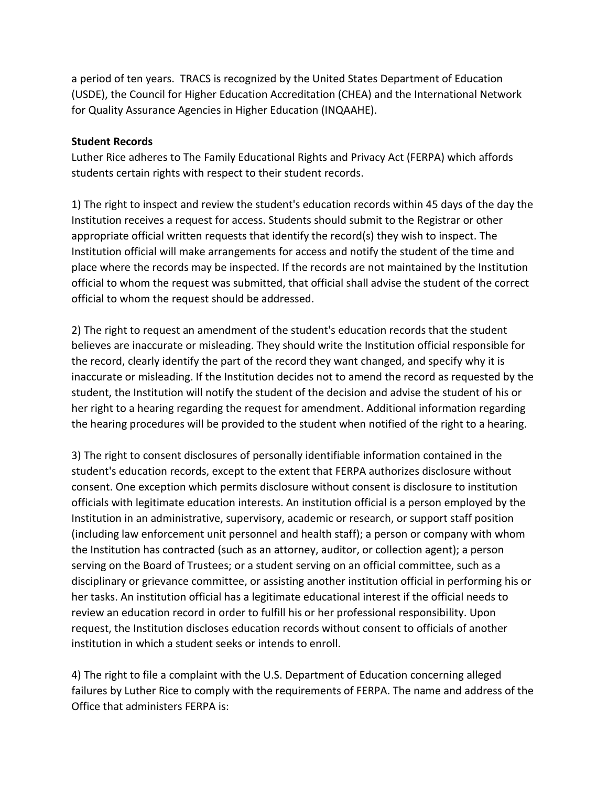a period of ten years. TRACS is recognized by the United States Department of Education (USDE), the Council for Higher Education Accreditation (CHEA) and the International Network for Quality Assurance Agencies in Higher Education (INQAAHE).

#### **Student Records**

Luther Rice adheres to The Family Educational Rights and Privacy Act (FERPA) which affords students certain rights with respect to their student records.

1) The right to inspect and review the student's education records within 45 days of the day the Institution receives a request for access. Students should submit to the Registrar or other appropriate official written requests that identify the record(s) they wish to inspect. The Institution official will make arrangements for access and notify the student of the time and place where the records may be inspected. If the records are not maintained by the Institution official to whom the request was submitted, that official shall advise the student of the correct official to whom the request should be addressed.

2) The right to request an amendment of the student's education records that the student believes are inaccurate or misleading. They should write the Institution official responsible for the record, clearly identify the part of the record they want changed, and specify why it is inaccurate or misleading. If the Institution decides not to amend the record as requested by the student, the Institution will notify the student of the decision and advise the student of his or her right to a hearing regarding the request for amendment. Additional information regarding the hearing procedures will be provided to the student when notified of the right to a hearing.

3) The right to consent disclosures of personally identifiable information contained in the student's education records, except to the extent that FERPA authorizes disclosure without consent. One exception which permits disclosure without consent is disclosure to institution officials with legitimate education interests. An institution official is a person employed by the Institution in an administrative, supervisory, academic or research, or support staff position (including law enforcement unit personnel and health staff); a person or company with whom the Institution has contracted (such as an attorney, auditor, or collection agent); a person serving on the Board of Trustees; or a student serving on an official committee, such as a disciplinary or grievance committee, or assisting another institution official in performing his or her tasks. An institution official has a legitimate educational interest if the official needs to review an education record in order to fulfill his or her professional responsibility. Upon request, the Institution discloses education records without consent to officials of another institution in which a student seeks or intends to enroll.

4) The right to file a complaint with the U.S. Department of Education concerning alleged failures by Luther Rice to comply with the requirements of FERPA. The name and address of the Office that administers FERPA is: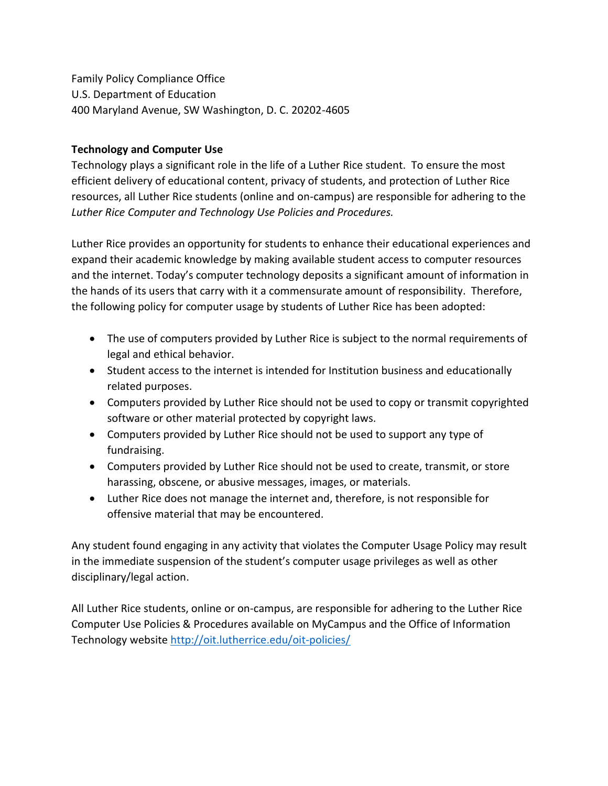Family Policy Compliance Office U.S. Department of Education 400 Maryland Avenue, SW Washington, D. C. 20202-4605

#### **Technology and Computer Use**

Technology plays a significant role in the life of a Luther Rice student. To ensure the most efficient delivery of educational content, privacy of students, and protection of Luther Rice resources, all Luther Rice students (online and on-campus) are responsible for adhering to the *Luther Rice Computer and Technology Use Policies and Procedures.*

Luther Rice provides an opportunity for students to enhance their educational experiences and expand their academic knowledge by making available student access to computer resources and the internet. Today's computer technology deposits a significant amount of information in the hands of its users that carry with it a commensurate amount of responsibility. Therefore, the following policy for computer usage by students of Luther Rice has been adopted:

- The use of computers provided by Luther Rice is subject to the normal requirements of legal and ethical behavior.
- Student access to the internet is intended for Institution business and educationally related purposes.
- Computers provided by Luther Rice should not be used to copy or transmit copyrighted software or other material protected by copyright laws.
- Computers provided by Luther Rice should not be used to support any type of fundraising.
- Computers provided by Luther Rice should not be used to create, transmit, or store harassing, obscene, or abusive messages, images, or materials.
- Luther Rice does not manage the internet and, therefore, is not responsible for offensive material that may be encountered.

Any student found engaging in any activity that violates the Computer Usage Policy may result in the immediate suspension of the student's computer usage privileges as well as other disciplinary/legal action.

All Luther Rice students, online or on-campus, are responsible for adhering to the Luther Rice Computer Use Policies & Procedures available on MyCampus and the Office of Information Technology websit[e http://oit.lutherrice.edu/oit-policies/](http://oit.lutherrice.edu/oit-policies/)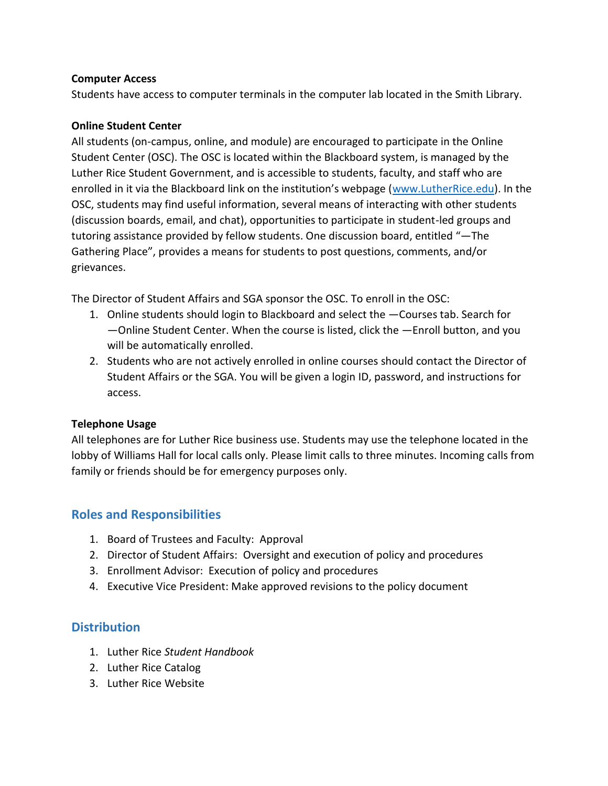#### **Computer Access**

Students have access to computer terminals in the computer lab located in the Smith Library.

#### **Online Student Center**

All students (on-campus, online, and module) are encouraged to participate in the Online Student Center (OSC). The OSC is located within the Blackboard system, is managed by the Luther Rice Student Government, and is accessible to students, faculty, and staff who are enrolled in it via the Blackboard link on the institution's webpage ([www.LutherRice.edu\)](http://www.lutherrice.edu/). In the OSC, students may find useful information, several means of interacting with other students (discussion boards, email, and chat), opportunities to participate in student-led groups and tutoring assistance provided by fellow students. One discussion board, entitled "―The Gathering Place", provides a means for students to post questions, comments, and/or grievances.

The Director of Student Affairs and SGA sponsor the OSC. To enroll in the OSC:

- 1. Online students should login to Blackboard and select the ―Courses tab. Search for ―Online Student Center. When the course is listed, click the ―Enroll button, and you will be automatically enrolled.
- 2. Students who are not actively enrolled in online courses should contact the Director of Student Affairs or the SGA. You will be given a login ID, password, and instructions for access.

## **Telephone Usage**

All telephones are for Luther Rice business use. Students may use the telephone located in the lobby of Williams Hall for local calls only. Please limit calls to three minutes. Incoming calls from family or friends should be for emergency purposes only.

# **Roles and Responsibilities**

- 1. Board of Trustees and Faculty: Approval
- 2. Director of Student Affairs: Oversight and execution of policy and procedures
- 3. Enrollment Advisor: Execution of policy and procedures
- 4. Executive Vice President: Make approved revisions to the policy document

# **Distribution**

- 1. Luther Rice *Student Handbook*
- 2. Luther Rice Catalog
- 3. Luther Rice Website